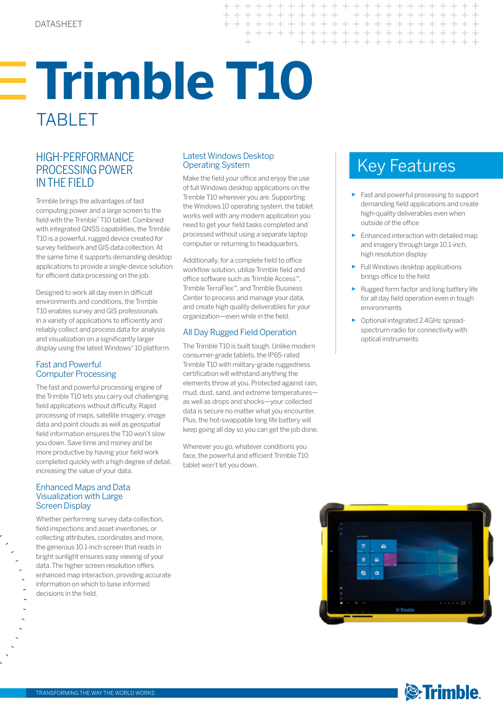# **Trimble T10** TABLET

## HIGH-PERFORMANCE Latest Windows Desktop<br>PROCESSING POWER Derating System **Key Features** PROCESSING POWER IN THE FIELD

Trimble brings the advantages of fast computing power and a large screen to the field with the Trimble® T10 tablet. Combined with integrated GNSS capabilities, the Trimble T10 is a powerful, rugged device created for survey fieldwork and GIS data collection. At the same time it supports demanding desktop applications to provide a single-device solution for efficient data processing on the job.

Designed to work all day even in difficult environments and conditions, the Trimble T10 enables survey and GIS professionals in a variety of applications to efficiently and reliably collect and process data for analysis and visualization on a significantly larger display using the latest Windows® 10 platform.

#### Fast and Powerful Computer Processing

The fast and powerful processing engine of the Trimble T10 lets you carry out challenging field applications without difficulty. Rapid processing of maps, satellite imagery, image data and point clouds as well as geospatial field information ensures the T10 won't slow you down. Save time and money and be more productive by having your field work completed quickly with a high degree of detail, increasing the value of your data.

#### Enhanced Maps and Data Visualization with Large Screen Display

Whether performing survey data collection, field inspections and asset inventories, or collecting attributes, coordinates and more, the generous 10.1-inch screen that reads in bright sunlight ensures easy viewing of your data. The higher screen resolution offers enhanced map interaction, providing accurate information on which to base informed decisions in the field.

#### Latest Windows Desktop Operating System

Make the field your office and enjoy the use of full Windows desktop applications on the Trimble T10 wherever you are. Supporting the Windows 10 operating system, the tablet works well with any modern application you need to get your field tasks completed and processed without using a separate laptop computer or returning to headquarters.

 $\overline{+}$ 

 $\!+\!$  $+ +$ 

 $+$ 

Additionally, for a complete field to office workflow solution, utilize Trimble field and office software such as Trimble Access™, Trimble TerraFlex™, and Trimble Business Center to process and manage your data, and create high quality deliverables for your organization—even while in the field.

### All Day Rugged Field Operation

The Trimble T10 is built tough. Unlike modern consumer-grade tablets, the IP65-rated Trimble T10 with military-grade ruggedness certification will withstand anything the elements throw at you. Protected against rain, mud, dust, sand, and extreme temperatures as well as drops and shocks—your collected data is secure no matter what you encounter. Plus, the hot-swappable long life battery will keep going all day so you can get the job done.

Wherever you go, whatever conditions you face, the powerful and efficient Trimble T10 tablet won't let you down.

 $++$ 

 $++$ + + + + + + + + + + + + + + + + + + + +

+ + + + + + + + + + + + + + + +

+++++++++++++++

- ► Fast and powerful processing to support demanding field applications and create high-quality deliverables even when outside of the office
- ► Enhanced interaction with detailed map and imagery through large 10.1-inch, high resolution display
- ► Full Windows desktop applications brings office to the field
- Rugged form factor and long battery life for all day field operation even in tough environments
- ► Optional integrated 2.4GHz spreadspectrum radio for connectivity with optical instruments